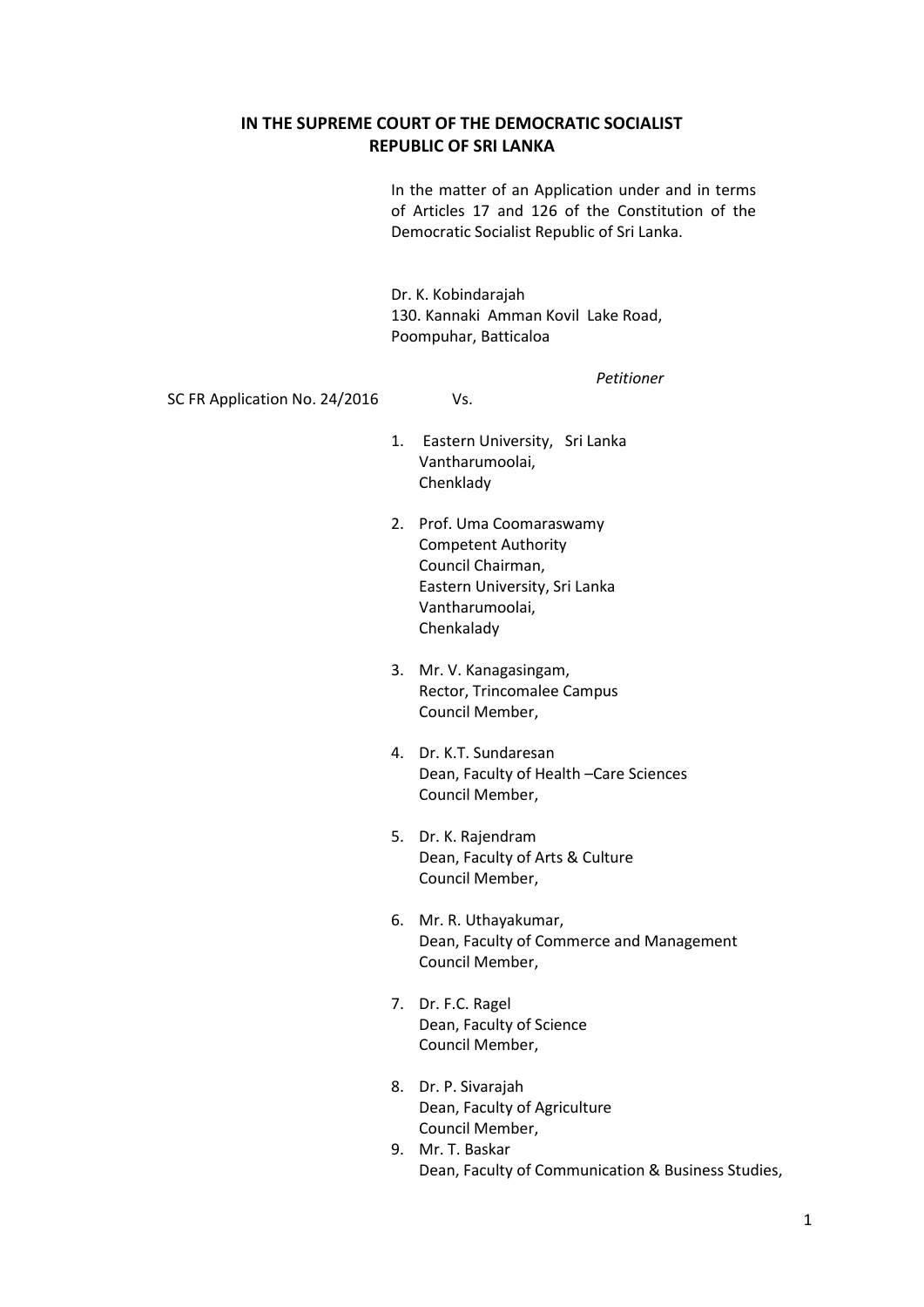#### **IN THE SUPREME COURT OF THE DEMOCRATIC SOCIALIST REPUBLIC OF SRI LANKA**

In the matter of an Application under and in terms of Articles 17 and 126 of the Constitution of the Democratic Socialist Republic of Sri Lanka.

Dr. K. Kobindarajah 130. Kannaki Amman Kovil Lake Road, Poompuhar, Batticaloa

*Petitioner*

SC FR Application No. 24/2016 Vs.

1. Eastern University, Sri Lanka Vantharumoolai, Chenklady

- 2. Prof. Uma Coomaraswamy Competent Authority Council Chairman, Eastern University, Sri Lanka Vantharumoolai, Chenkalady
- 3. Mr. V. Kanagasingam, Rector, Trincomalee Campus Council Member,
- 4. Dr. K.T. Sundaresan Dean, Faculty of Health –Care Sciences Council Member,
- 5. Dr. K. Rajendram Dean, Faculty of Arts & Culture Council Member,
- 6. Mr. R. Uthayakumar, Dean, Faculty of Commerce and Management Council Member,
- 7. Dr. F.C. Ragel Dean, Faculty of Science Council Member,
- 8. Dr. P. Sivarajah Dean, Faculty of Agriculture Council Member,
- 9. Mr. T. Baskar Dean, Faculty of Communication & Business Studies,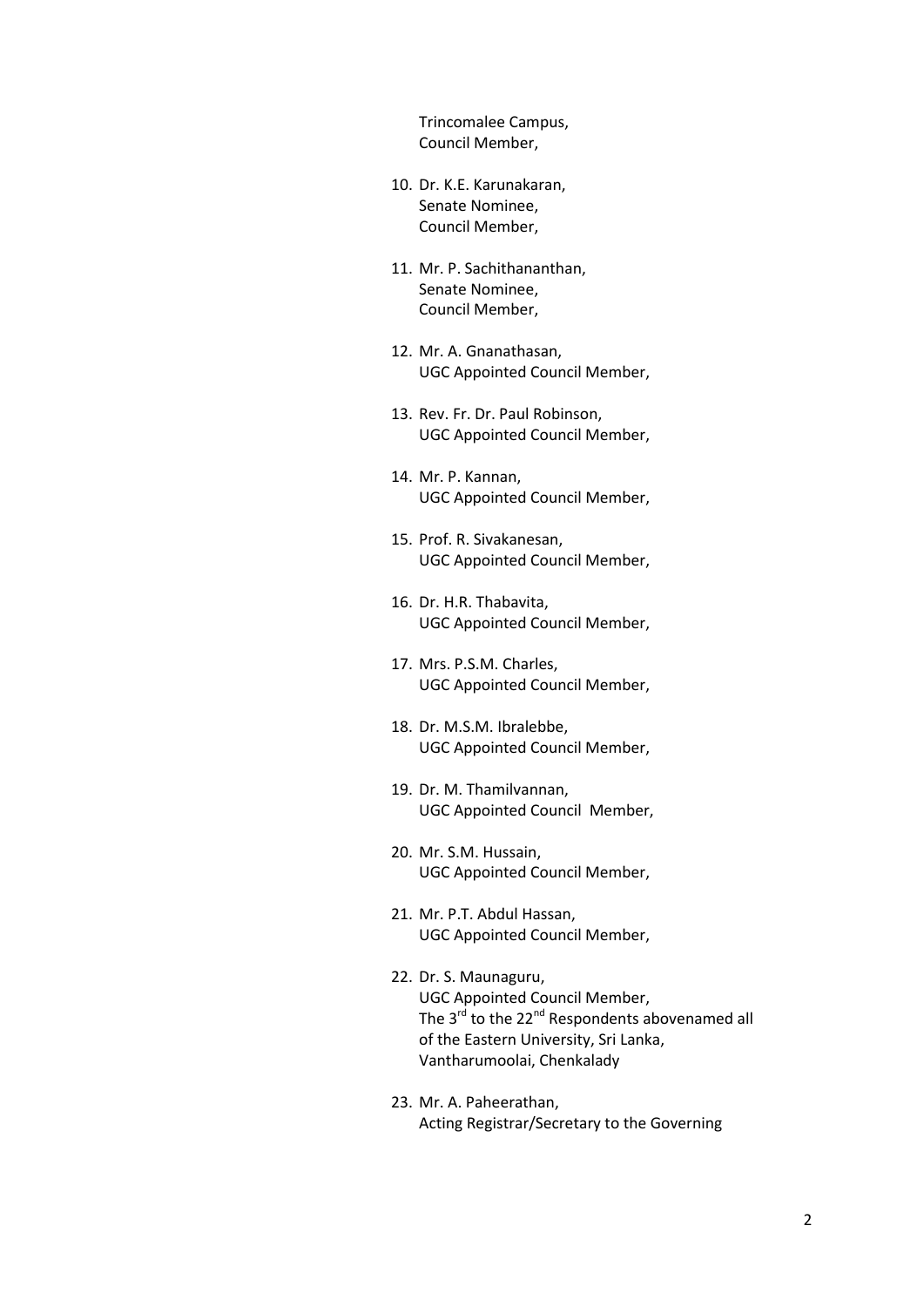Trincomalee Campus, Council Member,

- 10. Dr. K.E. Karunakaran, Senate Nominee, Council Member,
- 11. Mr. P. Sachithananthan, Senate Nominee, Council Member,
- 12. Mr. A. Gnanathasan, UGC Appointed Council Member,
- 13. Rev. Fr. Dr. Paul Robinson, UGC Appointed Council Member,
- 14. Mr. P. Kannan, UGC Appointed Council Member,
- 15. Prof. R. Sivakanesan, UGC Appointed Council Member,
- 16. Dr. H.R. Thabavita, UGC Appointed Council Member,
- 17. Mrs. P.S.M. Charles, UGC Appointed Council Member,
- 18. Dr. M.S.M. Ibralebbe, UGC Appointed Council Member,
- 19. Dr. M. Thamilvannan, UGC Appointed Council Member,
- 20. Mr. S.M. Hussain, UGC Appointed Council Member,
- 21. Mr. P.T. Abdul Hassan, UGC Appointed Council Member,
- 22. Dr. S. Maunaguru, UGC Appointed Council Member, The 3<sup>rd</sup> to the 22<sup>nd</sup> Respondents abovenamed all of the Eastern University, Sri Lanka, Vantharumoolai, Chenkalady
- 23. Mr. A. Paheerathan, Acting Registrar/Secretary to the Governing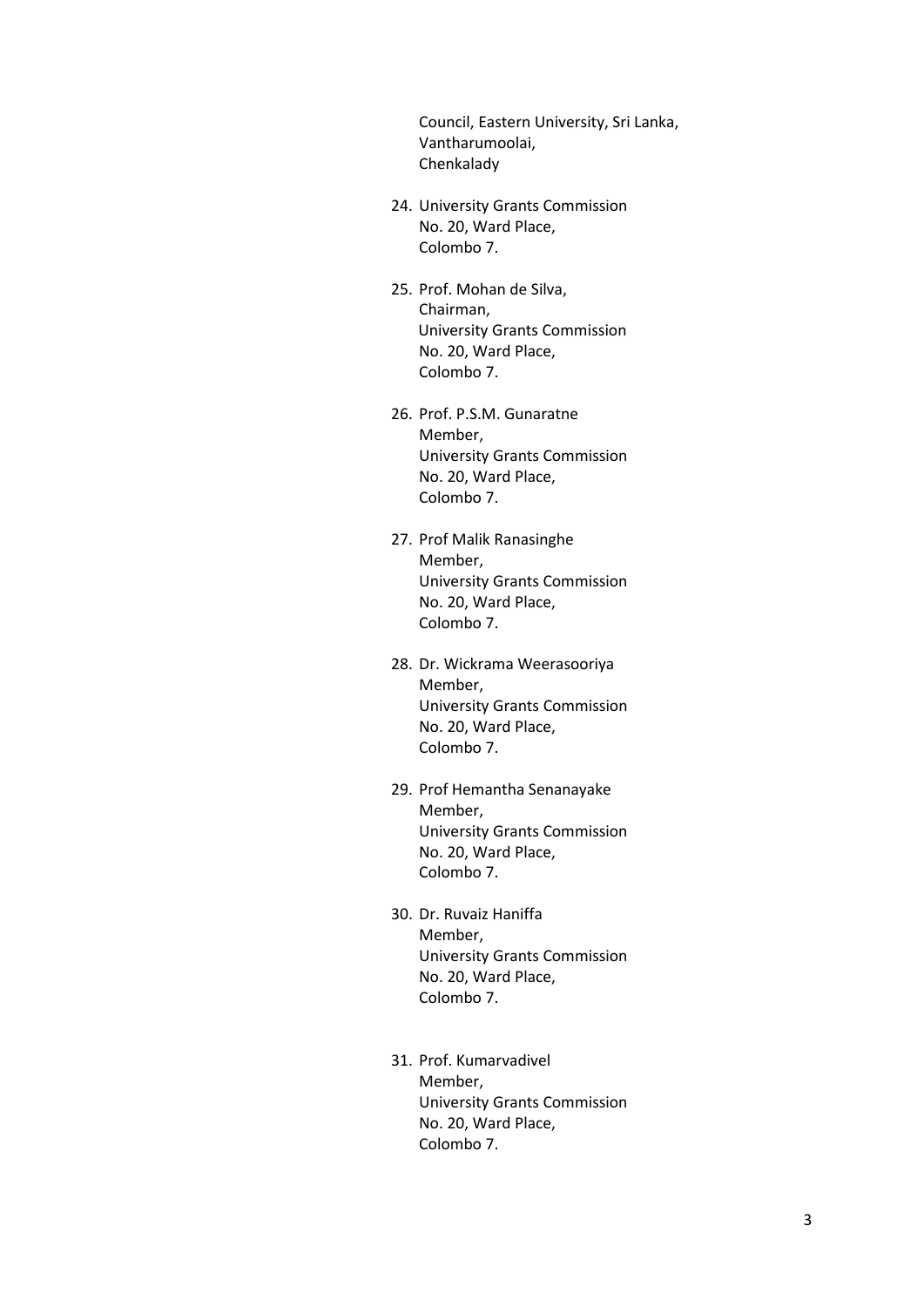Council, Eastern University, Sri Lanka, Vantharumoolai, Chenkalady

- 24. University Grants Commission No. 20, Ward Place, Colombo 7.
- 25. Prof. Mohan de Silva, Chairman, University Grants Commission No. 20, Ward Place, Colombo 7.
- 26. Prof. P.S.M. Gunaratne Member, University Grants Commission No. 20, Ward Place, Colombo 7.
- 27. Prof Malik Ranasinghe Member, University Grants Commission No. 20, Ward Place, Colombo 7.
- 28. Dr. Wickrama Weerasooriya Member, University Grants Commission No. 20, Ward Place, Colombo 7.
- 29. Prof Hemantha Senanayake Member, University Grants Commission No. 20, Ward Place, Colombo 7.
- 30. Dr. Ruvaiz Haniffa Member, University Grants Commission No. 20, Ward Place, Colombo 7.
- 31. Prof. Kumarvadivel Member, University Grants Commission No. 20, Ward Place, Colombo 7.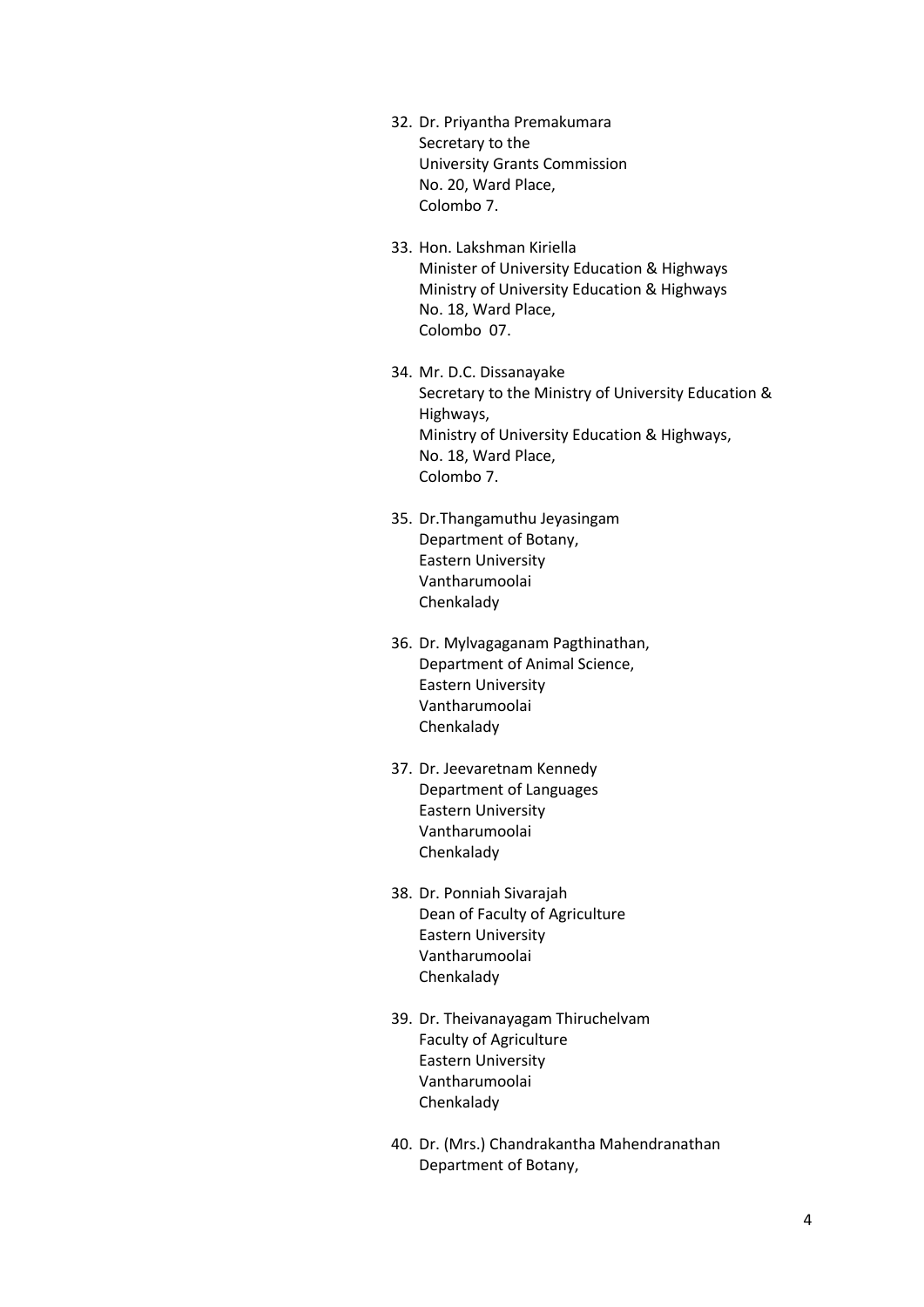- 32. Dr. Priyantha Premakumara Secretary to the University Grants Commission No. 20, Ward Place, Colombo 7.
- 33. Hon. Lakshman Kiriella Minister of University Education & Highways Ministry of University Education & Highways No. 18, Ward Place, Colombo 07.
- 34. Mr. D.C. Dissanayake Secretary to the Ministry of University Education & Highways, Ministry of University Education & Highways, No. 18, Ward Place, Colombo 7.
- 35. Dr.Thangamuthu Jeyasingam Department of Botany, Eastern University Vantharumoolai Chenkalady
- 36. Dr. Mylvagaganam Pagthinathan, Department of Animal Science, Eastern University Vantharumoolai Chenkalady
- 37. Dr. Jeevaretnam Kennedy Department of Languages Eastern University Vantharumoolai Chenkalady
- 38. Dr. Ponniah Sivarajah Dean of Faculty of Agriculture Eastern University Vantharumoolai Chenkalady
- 39. Dr. Theivanayagam Thiruchelvam Faculty of Agriculture Eastern University Vantharumoolai Chenkalady
- 40. Dr. (Mrs.) Chandrakantha Mahendranathan Department of Botany,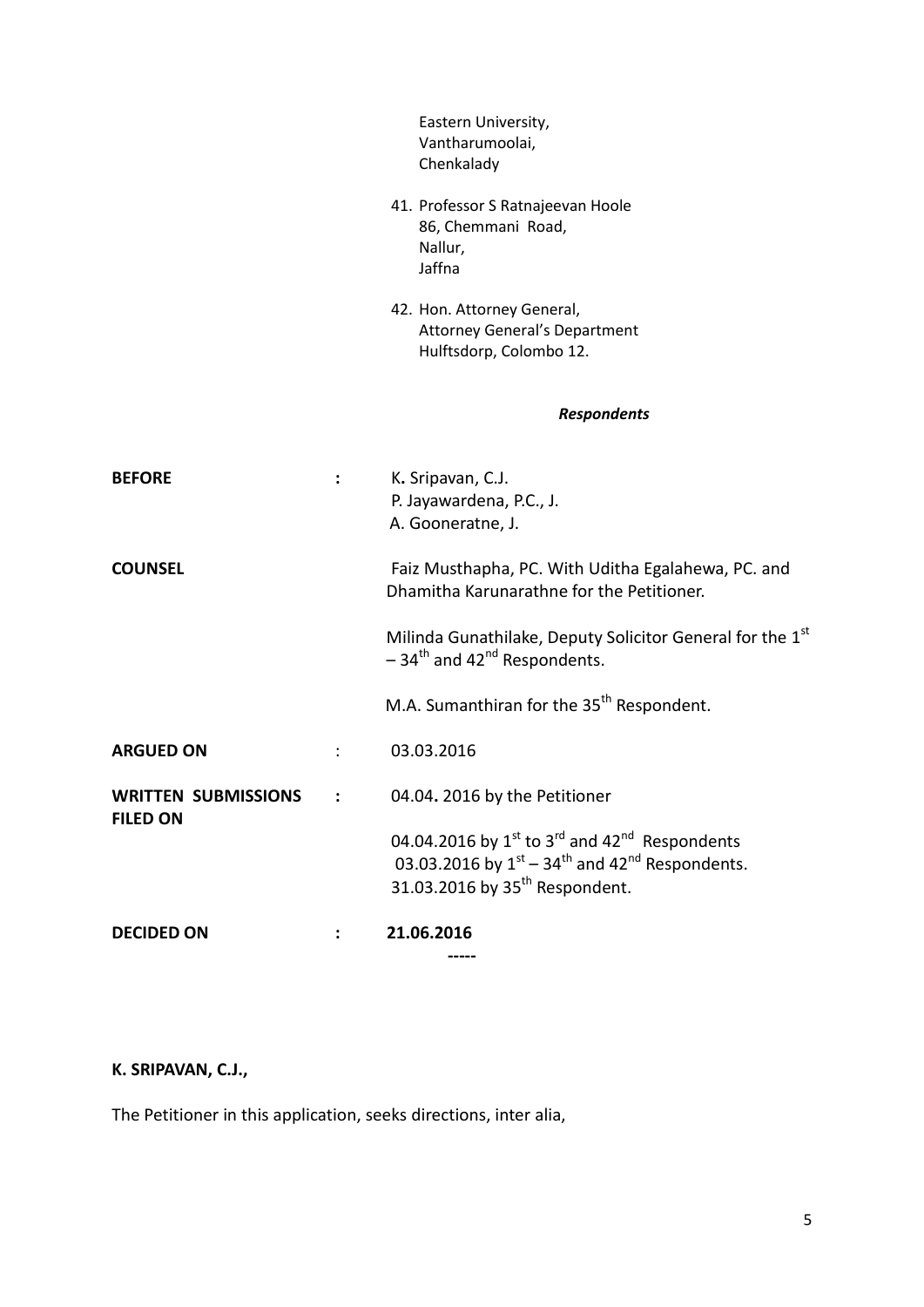|                                               |                | Eastern University,<br>Vantharumoolai,<br>Chenkalady                                                                                                                                                    |
|-----------------------------------------------|----------------|---------------------------------------------------------------------------------------------------------------------------------------------------------------------------------------------------------|
|                                               |                | 41. Professor S Ratnajeevan Hoole<br>86, Chemmani Road,<br>Nallur,<br>Jaffna                                                                                                                            |
|                                               |                | 42. Hon. Attorney General,<br><b>Attorney General's Department</b><br>Hulftsdorp, Colombo 12.                                                                                                           |
|                                               |                | <b>Respondents</b>                                                                                                                                                                                      |
| <b>BEFORE</b>                                 | $\ddot{\cdot}$ | K. Sripavan, C.J.<br>P. Jayawardena, P.C., J.<br>A. Gooneratne, J.                                                                                                                                      |
| <b>COUNSEL</b>                                |                | Faiz Musthapha, PC. With Uditha Egalahewa, PC. and<br>Dhamitha Karunarathne for the Petitioner.                                                                                                         |
|                                               |                | Milinda Gunathilake, Deputy Solicitor General for the 1st<br>$-34$ <sup>th</sup> and 42 <sup>nd</sup> Respondents.                                                                                      |
|                                               |                | M.A. Sumanthiran for the 35 <sup>th</sup> Respondent.                                                                                                                                                   |
| <b>ARGUED ON</b>                              | $\ddot{\cdot}$ | 03.03.2016                                                                                                                                                                                              |
| <b>WRITTEN SUBMISSIONS</b><br><b>FILED ON</b> |                | 04.04. 2016 by the Petitioner                                                                                                                                                                           |
|                                               |                | 04.04.2016 by $1^{st}$ to 3 <sup>rd</sup> and 42 <sup>nd</sup> Respondents<br>03.03.2016 by $1^{st}$ – 34 <sup>th</sup> and 42 <sup>nd</sup> Respondents.<br>31.03.2016 by 35 <sup>th</sup> Respondent. |
| <b>DECIDED ON</b>                             |                | 21.06.2016                                                                                                                                                                                              |

# **K. SRIPAVAN, C.J.,**

The Petitioner in this application, seeks directions, inter alia,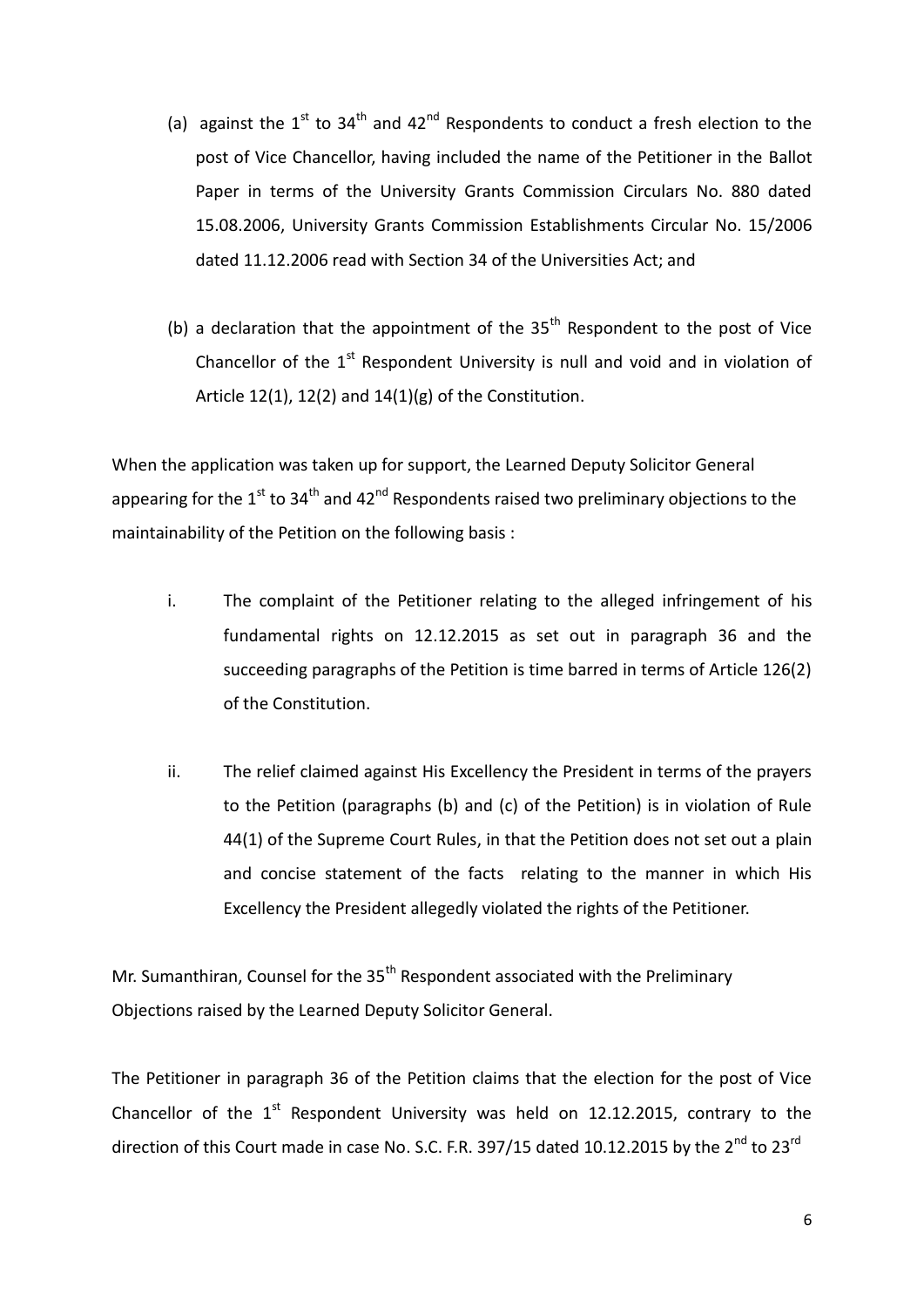- (a) against the  $1^{st}$  to  $34^{th}$  and  $42^{nd}$  Respondents to conduct a fresh election to the post of Vice Chancellor, having included the name of the Petitioner in the Ballot Paper in terms of the University Grants Commission Circulars No. 880 dated 15.08.2006, University Grants Commission Establishments Circular No. 15/2006 dated 11.12.2006 read with Section 34 of the Universities Act; and
- (b) a declaration that the appointment of the  $35<sup>th</sup>$  Respondent to the post of Vice Chancellor of the  $1<sup>st</sup>$  Respondent University is null and void and in violation of Article 12(1), 12(2) and  $14(1)(g)$  of the Constitution.

When the application was taken up for support, the Learned Deputy Solicitor General appearing for the  $1<sup>st</sup>$  to 34<sup>th</sup> and 42<sup>nd</sup> Respondents raised two preliminary objections to the maintainability of the Petition on the following basis :

- i. The complaint of the Petitioner relating to the alleged infringement of his fundamental rights on 12.12.2015 as set out in paragraph 36 and the succeeding paragraphs of the Petition is time barred in terms of Article 126(2) of the Constitution.
- ii. The relief claimed against His Excellency the President in terms of the prayers to the Petition (paragraphs (b) and (c) of the Petition) is in violation of Rule 44(1) of the Supreme Court Rules, in that the Petition does not set out a plain and concise statement of the facts relating to the manner in which His Excellency the President allegedly violated the rights of the Petitioner.

Mr. Sumanthiran, Counsel for the 35<sup>th</sup> Respondent associated with the Preliminary Objections raised by the Learned Deputy Solicitor General.

The Petitioner in paragraph 36 of the Petition claims that the election for the post of Vice Chancellor of the  $1<sup>st</sup>$  Respondent University was held on 12.12.2015, contrary to the direction of this Court made in case No. S.C. F.R. 397/15 dated 10.12.2015 by the  $2^{nd}$  to  $23^{rd}$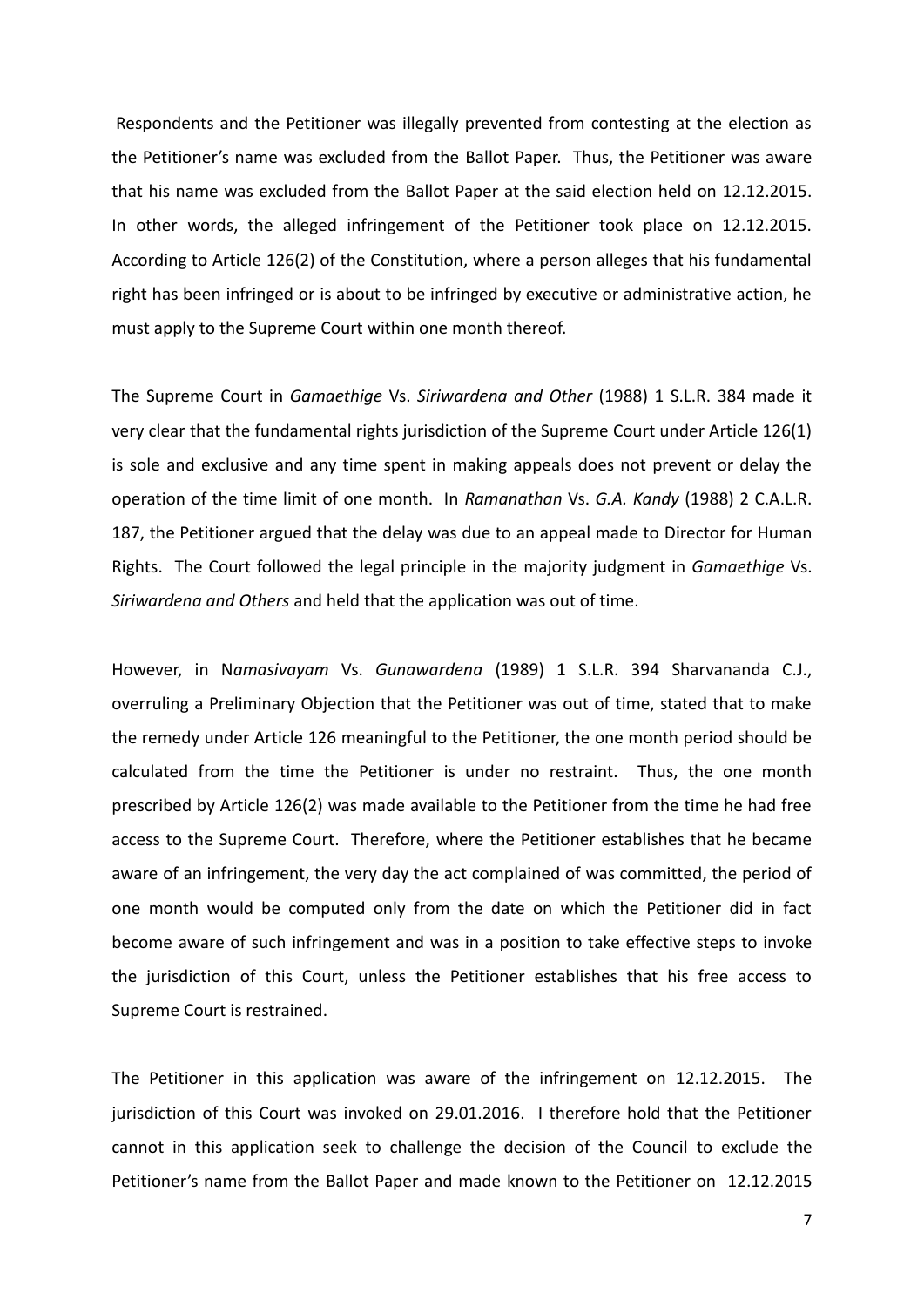Respondents and the Petitioner was illegally prevented from contesting at the election as the Petitioner's name was excluded from the Ballot Paper. Thus, the Petitioner was aware that his name was excluded from the Ballot Paper at the said election held on 12.12.2015. In other words, the alleged infringement of the Petitioner took place on 12.12.2015. According to Article 126(2) of the Constitution, where a person alleges that his fundamental right has been infringed or is about to be infringed by executive or administrative action, he must apply to the Supreme Court within one month thereof.

The Supreme Court in *Gamaethige* Vs. *Siriwardena and Other* (1988) 1 S.L.R. 384 made it very clear that the fundamental rights jurisdiction of the Supreme Court under Article 126(1) is sole and exclusive and any time spent in making appeals does not prevent or delay the operation of the time limit of one month. In *Ramanathan* Vs. *G.A. Kandy* (1988) 2 C.A.L.R. 187, the Petitioner argued that the delay was due to an appeal made to Director for Human Rights. The Court followed the legal principle in the majority judgment in *Gamaethige* Vs. *Siriwardena and Others* and held that the application was out of time.

However, in N*amasivayam* Vs. *Gunawardena* (1989) 1 S.L.R. 394 Sharvananda C.J., overruling a Preliminary Objection that the Petitioner was out of time, stated that to make the remedy under Article 126 meaningful to the Petitioner, the one month period should be calculated from the time the Petitioner is under no restraint. Thus, the one month prescribed by Article 126(2) was made available to the Petitioner from the time he had free access to the Supreme Court. Therefore, where the Petitioner establishes that he became aware of an infringement, the very day the act complained of was committed, the period of one month would be computed only from the date on which the Petitioner did in fact become aware of such infringement and was in a position to take effective steps to invoke the jurisdiction of this Court, unless the Petitioner establishes that his free access to Supreme Court is restrained.

The Petitioner in this application was aware of the infringement on 12.12.2015. The jurisdiction of this Court was invoked on 29.01.2016. I therefore hold that the Petitioner cannot in this application seek to challenge the decision of the Council to exclude the Petitioner's name from the Ballot Paper and made known to the Petitioner on 12.12.2015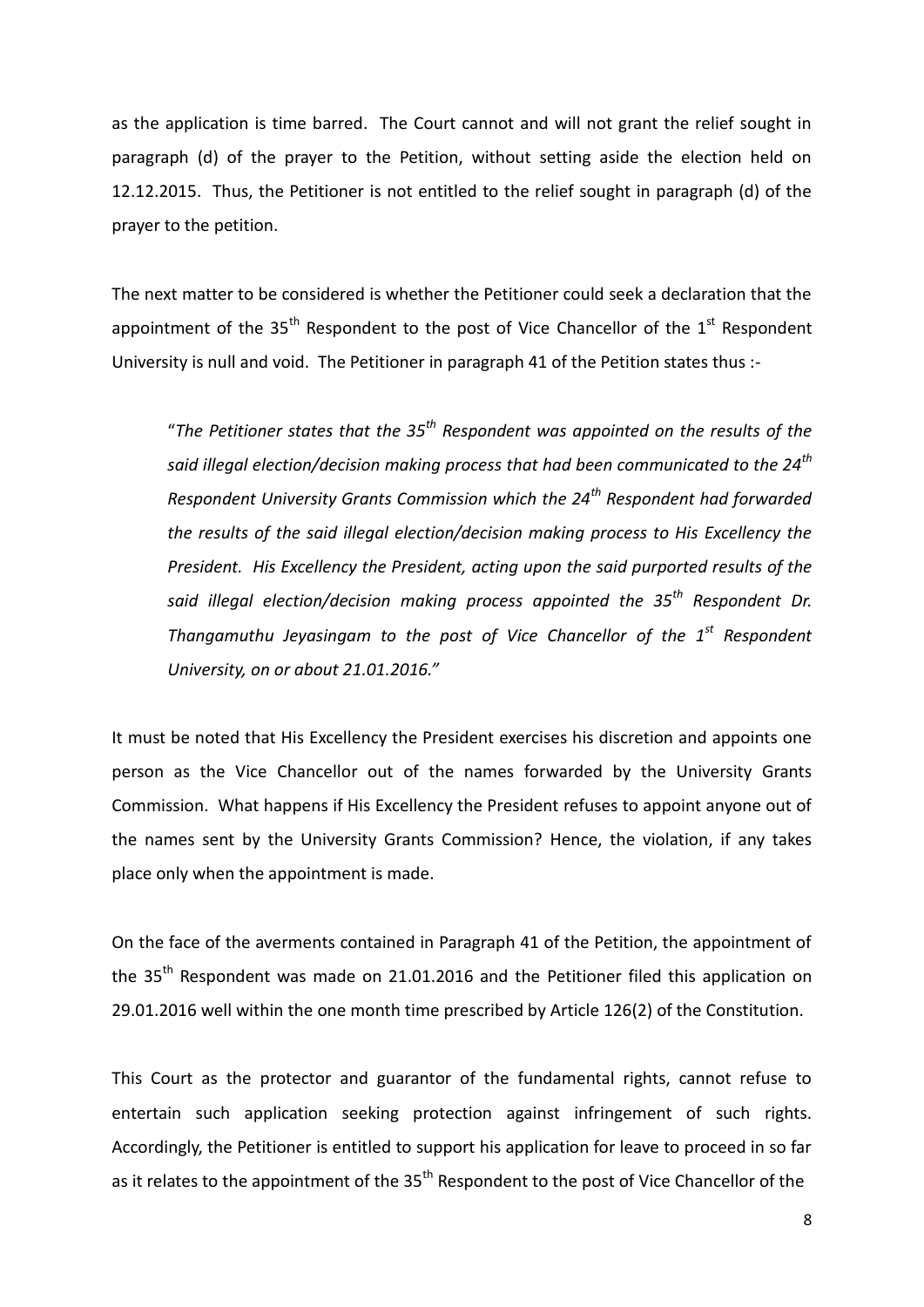as the application is time barred. The Court cannot and will not grant the relief sought in paragraph (d) of the prayer to the Petition, without setting aside the election held on 12.12.2015. Thus, the Petitioner is not entitled to the relief sought in paragraph (d) of the prayer to the petition.

The next matter to be considered is whether the Petitioner could seek a declaration that the appointment of the 35<sup>th</sup> Respondent to the post of Vice Chancellor of the  $1<sup>st</sup>$  Respondent University is null and void. The Petitioner in paragraph 41 of the Petition states thus :-

"*The Petitioner states that the 35th Respondent was appointed on the results of the said illegal election/decision making process that had been communicated to the 24th Respondent University Grants Commission which the 24th Respondent had forwarded the results of the said illegal election/decision making process to His Excellency the President. His Excellency the President, acting upon the said purported results of the said illegal election/decision making process appointed the 35th Respondent Dr. Thangamuthu Jeyasingam to the post of Vice Chancellor of the 1st Respondent University, on or about 21.01.2016."*

It must be noted that His Excellency the President exercises his discretion and appoints one person as the Vice Chancellor out of the names forwarded by the University Grants Commission. What happens if His Excellency the President refuses to appoint anyone out of the names sent by the University Grants Commission? Hence, the violation, if any takes place only when the appointment is made.

On the face of the averments contained in Paragraph 41 of the Petition, the appointment of the  $35<sup>th</sup>$  Respondent was made on 21.01.2016 and the Petitioner filed this application on 29.01.2016 well within the one month time prescribed by Article 126(2) of the Constitution.

This Court as the protector and guarantor of the fundamental rights, cannot refuse to entertain such application seeking protection against infringement of such rights. Accordingly, the Petitioner is entitled to support his application for leave to proceed in so far as it relates to the appointment of the  $35<sup>th</sup>$  Respondent to the post of Vice Chancellor of the